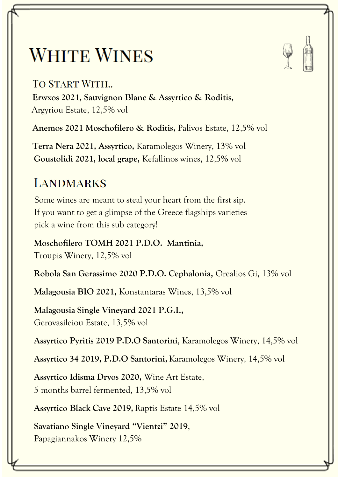## **WHITE WINES**

#### **TO START WITH...**

**Erwxos 2021, Sauvignon Blanc & Assyrtico & Roditis,** Argyriou Estate, 12,5% vol

**Anemos 2021 Moschofilero & Roditis,** Palivos Estate, 12,5% vol

**Terra Nera 2021, Assyrtico,** Karamolegos Winery, 13% vol **Goustolidi 2021, local grape,** Kefallinos wines, 12,5% vol

### **LANDMARKS**

 Some wines are meant to steal your heart from the first sip. If you want to get a glimpse of the Greece flagships varieties pick a wine from this sub category!

 **Moschofilero TOMH 2021 P.D.O. Mantinia,** Troupis Winery, 12,5% vol

 **Robola San Gerassimo 2020 P.D.O. Cephalonia,** Orealios Gi, 13% vol

 **Malagousia BIO 2021,** Konstantaras Wines, 13,5% vol

 **Malagousia Single Vineyard 2021 P.G.I.,** Gerovasileiou Estate, 13,5% vol

**Assyrtico Pyritis 2019 P.D.O Santorini**, Karamolegos Winery, 14,5% vol

**Assyrtico 34 2019, P.D.O Santorini,**Karamolegos Winery, 14,5% vol

 **Assyrtico Idisma Dryos 2020,** Wine Art Estate, 5 months barrel fermented, 13,5% vol

 **Assyrtico Black Cave 2019,** Raptis Estate 14,5% vol

 **Savatiano Single Vineyard "Vientzi" 2019**, Papagiannakos Winery 12,5%

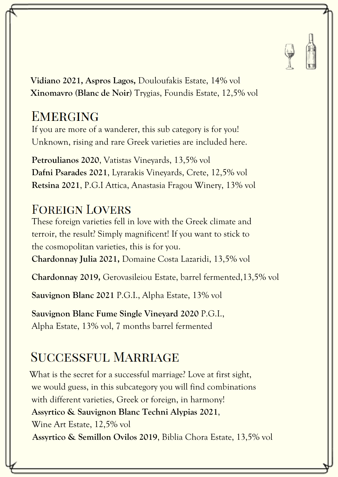

 **Vidiano 2021, Aspros Lagos,** Douloufakis Estate, 14% vol **Xinomavro (Blanc de Noir)** Trygias, Foundis Estate, 12,5% vol

### **EMERGING**

 If you are more of a wanderer, this sub category is for you! Unknown, rising and rare Greek varieties are included here.

 **Petroulianos 2020**, Vatistas Vineyards, 13,5% vol **Dafni Psarades 2021**, Lyrarakis Vineyards, Crete, 12,5% vol **Retsina 2021**, P.G.I Attica, Anastasia Fragou Winery, 13% vol

#### **FOREIGN LOVERS**

 These foreign varieties fell in love with the Greek climate and terroir, the result? Simply magnificent! If you want to stick to the cosmopolitan varieties, this is for you. **Chardonnay Julia 2021,** Domaine Costa Lazaridi, 13,5% vol

 **Chardonnay 2019,** Gerovasileiou Estate, barrel fermented,13,5% vol

 **Sauvignon Blanc 2021** P.G.I., Alpha Estate, 13% vol

 **Sauvignon Blanc Fume Single Vineyard 2020** P.G.I., Alpha Estate, 13% vol, 7 months barrel fermented

### **SUCCESSFUL MARRIAGE**

 What is the secret for a successful marriage? Love at first sight, we would guess, in this subcategory you will find combinations with different varieties, Greek or foreign, in harmony! **Assyrtico & Sauvignon Blanc Techni Alypias 2021**, Wine Art Estate, 12,5% vol **Assyrtico & Semillon Ovilos 2019**, Biblia Chora Estate, 13,5% vol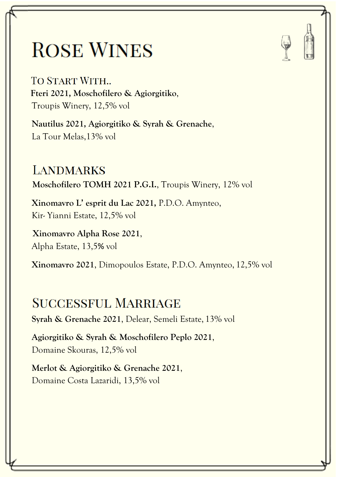# **ROSE WINES**

TO START WITH... **Fteri 2021, Moschofilero & Agiorgitiko**, Troupis Winery, 12,5% vol

 **Nautilus 2021, Agiorgitiko & Syrah & Grenache**, La Tour Melas,13% vol

**LANDMARKS Moschofilero TOMH 2021 P.G.I.**, Troupis Winery, 12% vol

 **Xinomavro L' esprit du Lac 2021,** P.D.O. Amynteo, Kir- Yianni Estate, 12,5% vol

 **Xinomavro Alpha Rose 2021**, Alpha Estate, 13,5% vol

 **Xinomavro 2021**, Dimopoulos Estate, P.D.O. Amynteo, 12,5% vol

#### **SUCCESSFUL MARRIAGE**

 **Syrah & Grenache 2021**, Delear, Semeli Estate, 13% vol

 **Agiorgitiko & Syrah & Moschofilero Peplo 2021**, Domaine Skouras, 12,5% vol

 **Merlot & Agiorgitiko & Grenache 2021**, Domaine Costa Lazaridi, 13,5% vol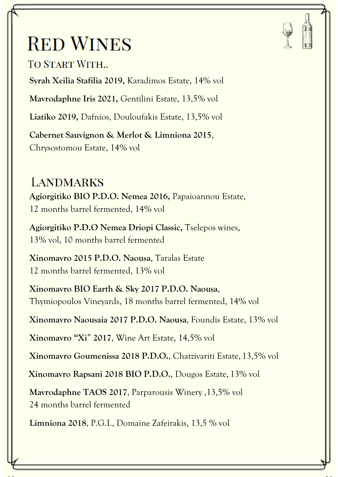## **RED WINES**

TO START WITH...

**Syrah Xeilia Stafilia 2019,** Karadimos Estate, 14% vol

**Mavrodaphne Iris 2021,** Gentilini Estate, 13,5% vol

**Liatiko 2019,** Dafnios, Douloufakis Estate, 13,5% vol

 **Cabernet Sauvignon & Merlot & Limniona 2015**, Chrysostomou Estate, 14% vol

#### **LANDMARKS Agiorgitiko BIO P.D.O. Nemea 2016,** Papaioannou Estate, 12 months barrel fermented, 14% vol

 **Agiorgitiko P.D.O Nemea Driopi Classic,** Tselepos wines, 13% vol, 10 months barrel fermented

 **Xinomavro 2015 P.D.O. Naousa**, Taralas Estate 12 months barrel fermented, 13% vol

 **Xinomavro BIO Earth & Sky 2017 P.D.O. Naousa**, Thymiopoulos Vineyards, 18 months barrel fermented, 14% vol

**Xinomavro Naousaia 2017 P.D.O. Naousa**, Foundis Estate, 13% vol

**Xinomavro "Xi**" **2017**, Wine Art Estate, 14,5% vol

 **Xinomavro Goumenissa 2018 P.D.O.**, Chatzivariti Estate, 13,5% vol

**Xinomavro Rapsani 2018 BIO P.D.O.**, Dougos Estate, 13% vol

 **Mavrodaphne TAOS 2017**, Parparousis Winery ,13,5% vol 24 months barrel fermented

**Limniona 2018**, P.G.I., Domaine Zafeirakis, 13,5 % vol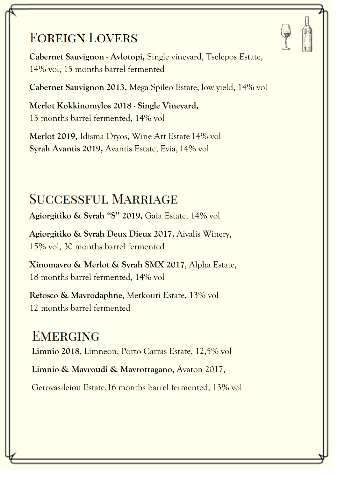### **FOREIGN LOVERS**

 **Cabernet Sauvignon - Avlotopi,** Single vineyard, Tselepos Estate, 14% vol, 15 months barrel fermented

**Cabernet Sauvignon 2013,** Mega Spileo Estate, low yield, 14% vol

 **Merlot Kokkinomylos 2018 - Single Vineyard,** 15 months barrel fermented, 14% vol

 **Merlot 2019,** Idisma Dryos, Wine Art Estate 14% vol **Syrah Avantis 2019,** Avantis Estate, Evia, 14% vol

### **SUCCESSFUL MARRIAGE**

**Agiorgitiko & Syrah "S" 2019,** Gaia Estate, 14% vol

 **Agiorgitiko & Syrah Deux Dieux 2017,** Aivalis Winery, 15% vol, 30 months barrel fermented

 **Xinomavro & Merlot & Syrah SMX 2017**, Alpha Estate, 18 months barrel fermented, 14% vol

 **Refosco & Mavrodaphne**, Merkouri Estate, 13% vol 12 months barrel fermented

**EMERGING Limnio 2018**, Limneon, Porto Carras Estate, 12,5% vol **Limnio & Mavroudi & Mavrotragano,** Avaton 2017,

Gerovasileiou Estate,16 months barrel fermented, 13% vol

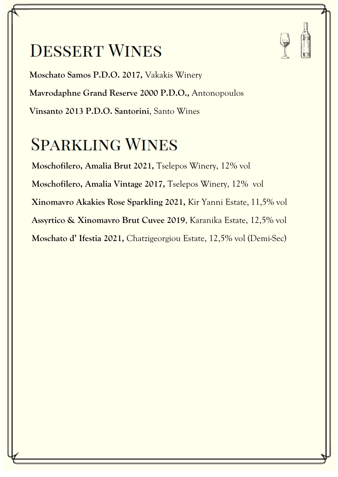### **DESSERT WINES**



 **Moschato Samos P.D.O. 2017,** Vakakis Winery **Mavrodaphne Grand Reserve 2000 P.D.O.,** Antonopoulos **Vinsanto 2013 P.D.O. Santorini**, Santo Wines

### **SPARKLING WINES**

 **Moschofilero, Amalia Brut 2021,** Tselepos Winery, 12% vol **Moschofilero, Amalia Vintage 2017,** Tselepos Winery, 12% vol **Xinomavro Akakies Rose Sparkling 2021,** Kir Yanni Estate, 11,5% vol **Assyrtico & Xinomavro Brut Cuvee 2019**, Karanika Estate, 12,5% vol  **Moschato d' Ifestia 2021,** Chatzigeorgiou Estate, 12,5% vol (Demi-Sec)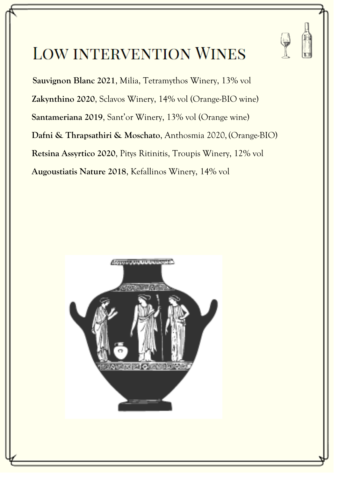

### **LOW INTERVENTION WINES**

 **Sauvignon Blanc 2021**, Milia, Tetramythos Winery, 13% vol  **Zakynthino 2020**, Sclavos Winery, 14% vol (Orange-BIO wine)  **Santameriana 2019**, Sant'or Winery, 13% vol (Orange wine)  **Dafni & Thrapsathiri & Moschato**, Anthosmia 2020, (Orange-BIO)  **Retsina Assyrtico 2020**, Pitys Ritinitis, Troupis Winery, 12% vol  **Augoustiatis Nature 2018**, Kefallinos Winery, 14% vol